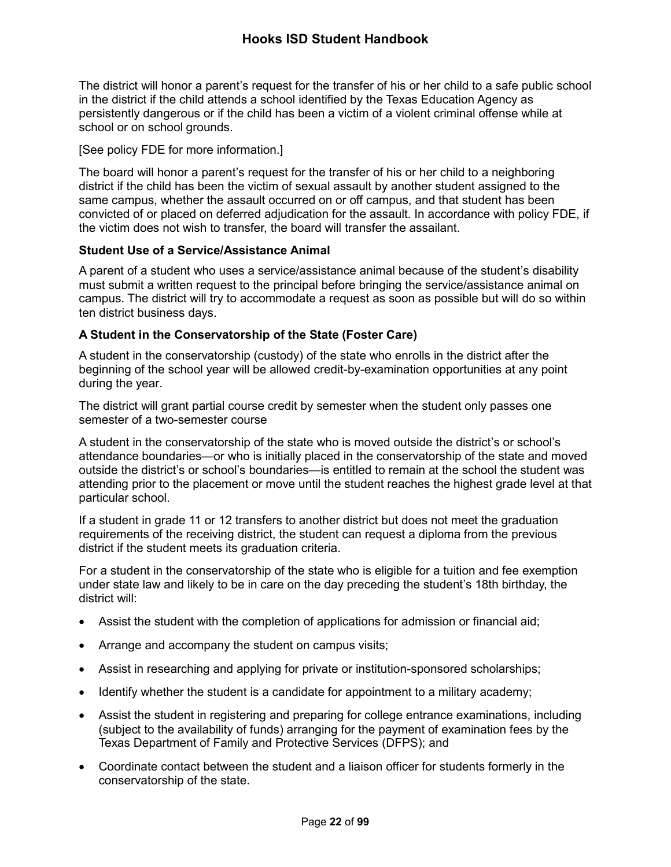The district will honor a parent's request for the transfer of his or her child to a safe public school in the district if the child attends a school identified by the Texas Education Agency as persistently dangerous or if the child has been a victim of a violent criminal offense while at school or on school grounds.

## [See policy FDE for more information.]

The board will honor a parent's request for the transfer of his or her child to a neighboring district if the child has been the victim of sexual assault by another student assigned to the same campus, whether the assault occurred on or off campus, and that student has been convicted of or placed on deferred adjudication for the assault. In accordance with policy FDE, if the victim does not wish to transfer, the board will transfer the assailant.

### **Student Use of a Service/Assistance Animal**

A parent of a student who uses a service/assistance animal because of the student's disability must submit a written request to the principal before bringing the service/assistance animal on campus. The district will try to accommodate a request as soon as possible but will do so within ten district business days.

## **A Student in the Conservatorship of the State (Foster Care)**

A student in the conservatorship (custody) of the state who enrolls in the district after the beginning of the school year will be allowed credit-by-examination opportunities at any point during the year.

The district will grant partial course credit by semester when the student only passes one semester of a two-semester course

A student in the conservatorship of the state who is moved outside the district's or school's attendance boundaries—or who is initially placed in the conservatorship of the state and moved outside the district's or school's boundaries—is entitled to remain at the school the student was attending prior to the placement or move until the student reaches the highest grade level at that particular school.

If a student in grade 11 or 12 transfers to another district but does not meet the graduation requirements of the receiving district, the student can request a diploma from the previous district if the student meets its graduation criteria.

For a student in the conservatorship of the state who is eligible for a tuition and fee exemption under state law and likely to be in care on the day preceding the student's 18th birthday, the district will:

- Assist the student with the completion of applications for admission or financial aid;
- Arrange and accompany the student on campus visits;
- Assist in researching and applying for private or institution-sponsored scholarships;
- Identify whether the student is a candidate for appointment to a military academy;
- Assist the student in registering and preparing for college entrance examinations, including (subject to the availability of funds) arranging for the payment of examination fees by the Texas Department of Family and Protective Services (DFPS); and
- Coordinate contact between the student and a liaison officer for students formerly in the conservatorship of the state.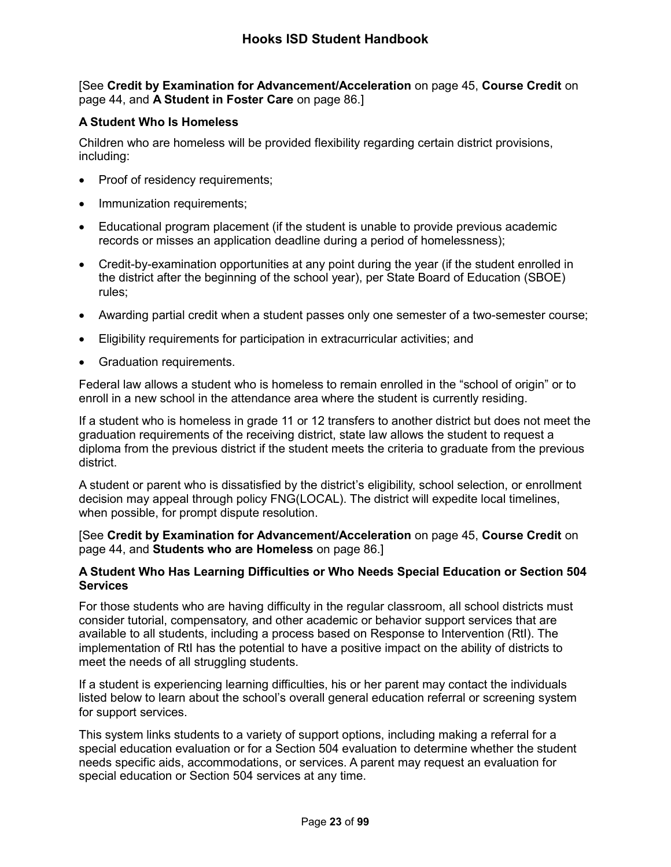[See **Credit by Examination for Advancement/Acceleration** on page 45, **Course Credit** on page 44, and **A Student in Foster Care** on page 86.]

# **A Student Who Is Homeless**

Children who are homeless will be provided flexibility regarding certain district provisions, including:

- Proof of residency requirements;
- Immunization requirements;
- Educational program placement (if the student is unable to provide previous academic records or misses an application deadline during a period of homelessness);
- Credit-by-examination opportunities at any point during the year (if the student enrolled in the district after the beginning of the school year), per State Board of Education (SBOE) rules;
- Awarding partial credit when a student passes only one semester of a two-semester course;
- Eligibility requirements for participation in extracurricular activities; and
- Graduation requirements.

Federal law allows a student who is homeless to remain enrolled in the "school of origin" or to enroll in a new school in the attendance area where the student is currently residing.

If a student who is homeless in grade 11 or 12 transfers to another district but does not meet the graduation requirements of the receiving district, state law allows the student to request a diploma from the previous district if the student meets the criteria to graduate from the previous district.

A student or parent who is dissatisfied by the district's eligibility, school selection, or enrollment decision may appeal through policy FNG(LOCAL). The district will expedite local timelines, when possible, for prompt dispute resolution.

[See **Credit by Examination for Advancement/Acceleration** on page 45, **Course Credit** on page 44, and **Students who are Homeless** on page 86.]

### **A Student Who Has Learning Difficulties or Who Needs Special Education or Section 504 Services**

For those students who are having difficulty in the regular classroom, all school districts must consider tutorial, compensatory, and other academic or behavior support services that are available to all students, including a process based on Response to Intervention (RtI). The implementation of RtI has the potential to have a positive impact on the ability of districts to meet the needs of all struggling students.

If a student is experiencing learning difficulties, his or her parent may contact the individuals listed below to learn about the school's overall general education referral or screening system for support services.

This system links students to a variety of support options, including making a referral for a special education evaluation or for a Section 504 evaluation to determine whether the student needs specific aids, accommodations, or services. A parent may request an evaluation for special education or Section 504 services at any time.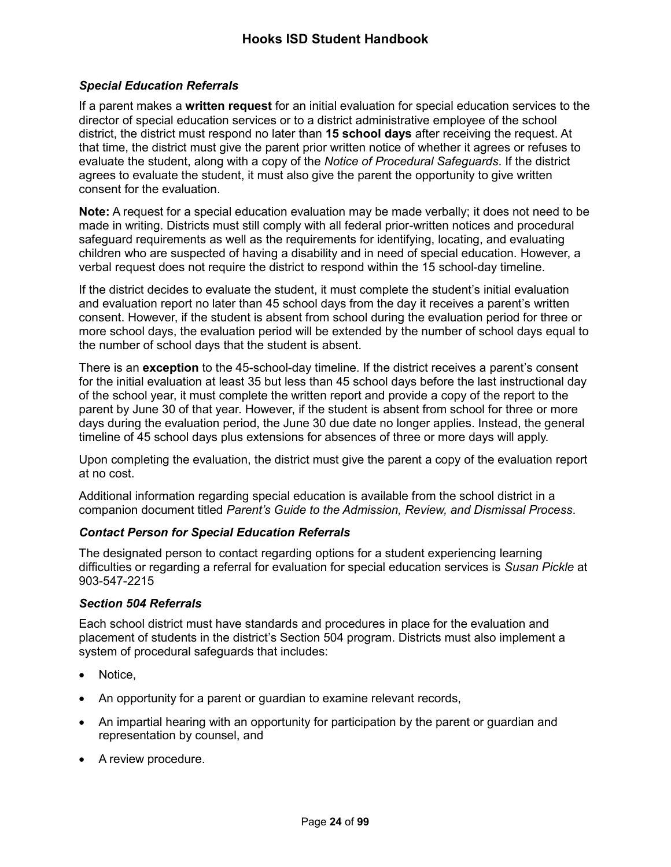# *Special Education Referrals*

If a parent makes a **written request** for an initial evaluation for special education services to the director of special education services or to a district administrative employee of the school district, the district must respond no later than **15 school days** after receiving the request. At that time, the district must give the parent prior written notice of whether it agrees or refuses to evaluate the student, along with a copy of the *Notice of Procedural Safeguards*. If the district agrees to evaluate the student, it must also give the parent the opportunity to give written consent for the evaluation.

**Note:** A request for a special education evaluation may be made verbally; it does not need to be made in writing. Districts must still comply with all federal prior-written notices and procedural safeguard requirements as well as the requirements for identifying, locating, and evaluating children who are suspected of having a disability and in need of special education. However, a verbal request does not require the district to respond within the 15 school-day timeline.

If the district decides to evaluate the student, it must complete the student's initial evaluation and evaluation report no later than 45 school days from the day it receives a parent's written consent. However, if the student is absent from school during the evaluation period for three or more school days, the evaluation period will be extended by the number of school days equal to the number of school days that the student is absent.

There is an **exception** to the 45-school-day timeline. If the district receives a parent's consent for the initial evaluation at least 35 but less than 45 school days before the last instructional day of the school year, it must complete the written report and provide a copy of the report to the parent by June 30 of that year. However, if the student is absent from school for three or more days during the evaluation period, the June 30 due date no longer applies. Instead, the general timeline of 45 school days plus extensions for absences of three or more days will apply.

Upon completing the evaluation, the district must give the parent a copy of the evaluation report at no cost.

Additional information regarding special education is available from the school district in a companion document titled *Parent's Guide to the Admission, Review, and Dismissal Process*.

## *Contact Person for Special Education Referrals*

The designated person to contact regarding options for a student experiencing learning difficulties or regarding a referral for evaluation for special education services is *Susan Pickle* at 903-547-2215

#### *Section 504 Referrals*

Each school district must have standards and procedures in place for the evaluation and placement of students in the district's Section 504 program. Districts must also implement a system of procedural safeguards that includes:

- Notice,
- An opportunity for a parent or guardian to examine relevant records,
- An impartial hearing with an opportunity for participation by the parent or guardian and representation by counsel, and
- A review procedure.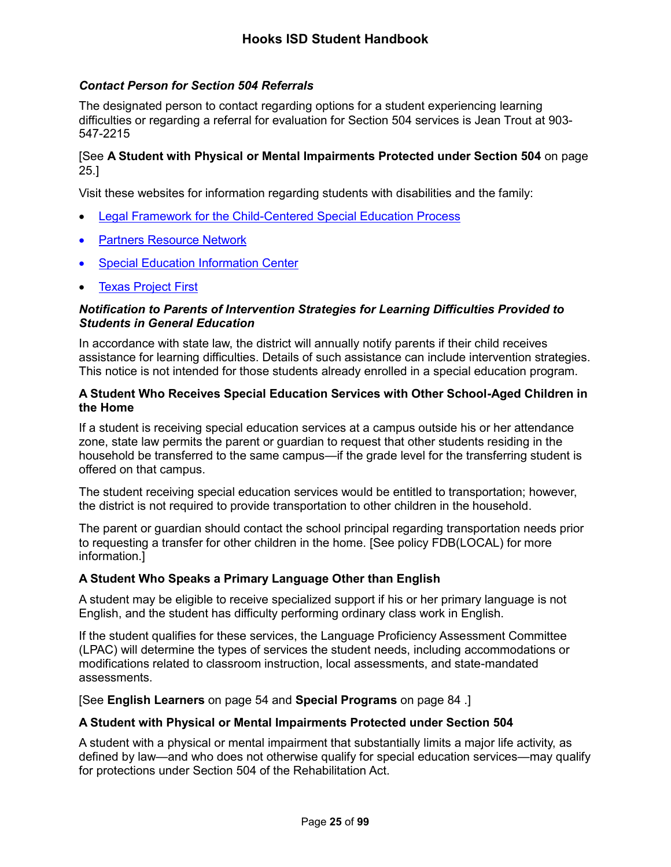# *Contact Person for Section 504 Referrals*

The designated person to contact regarding options for a student experiencing learning difficulties or regarding a referral for evaluation for Section 504 services is Jean Trout at 903- 547-2215

## [See **A Student with Physical or Mental Impairments Protected under Section 504** on page [25.](#page-3-0)]

Visit these websites for information regarding students with disabilities and the family:

- [Legal Framework for the Child-Centered Special Education Process](http://framework.esc18.net/display/Webforms/LandingPage.aspx)
- [Partners Resource Network](http://www.partnerstx.org/)
- [Special Education Information Center](http://www.spedtex.org/)
- [Texas Project First](http://www.texasprojectfirst.org/)

#### *Notification to Parents of Intervention Strategies for Learning Difficulties Provided to Students in General Education*

In accordance with state law, the district will annually notify parents if their child receives assistance for learning difficulties. Details of such assistance can include intervention strategies. This notice is not intended for those students already enrolled in a special education program.

#### **A Student Who Receives Special Education Services with Other School-Aged Children in the Home**

If a student is receiving special education services at a campus outside his or her attendance zone, state law permits the parent or guardian to request that other students residing in the household be transferred to the same campus—if the grade level for the transferring student is offered on that campus.

The student receiving special education services would be entitled to transportation; however, the district is not required to provide transportation to other children in the household.

The parent or guardian should contact the school principal regarding transportation needs prior to requesting a transfer for other children in the home. [See policy FDB(LOCAL) for more information.]

#### **A Student Who Speaks a Primary Language Other than English**

A student may be eligible to receive specialized support if his or her primary language is not English, and the student has difficulty performing ordinary class work in English.

If the student qualifies for these services, the Language Proficiency Assessment Committee (LPAC) will determine the types of services the student needs, including accommodations or modifications related to classroom instruction, local assessments, and state-mandated assessments.

[See **English Learners** on page 54 and **Special Programs** on page 84 .]

#### <span id="page-3-0"></span>**A Student with Physical or Mental Impairments Protected under Section 504**

A student with a physical or mental impairment that substantially limits a major life activity, as defined by law—and who does not otherwise qualify for special education services—may qualify for protections under Section 504 of the Rehabilitation Act.